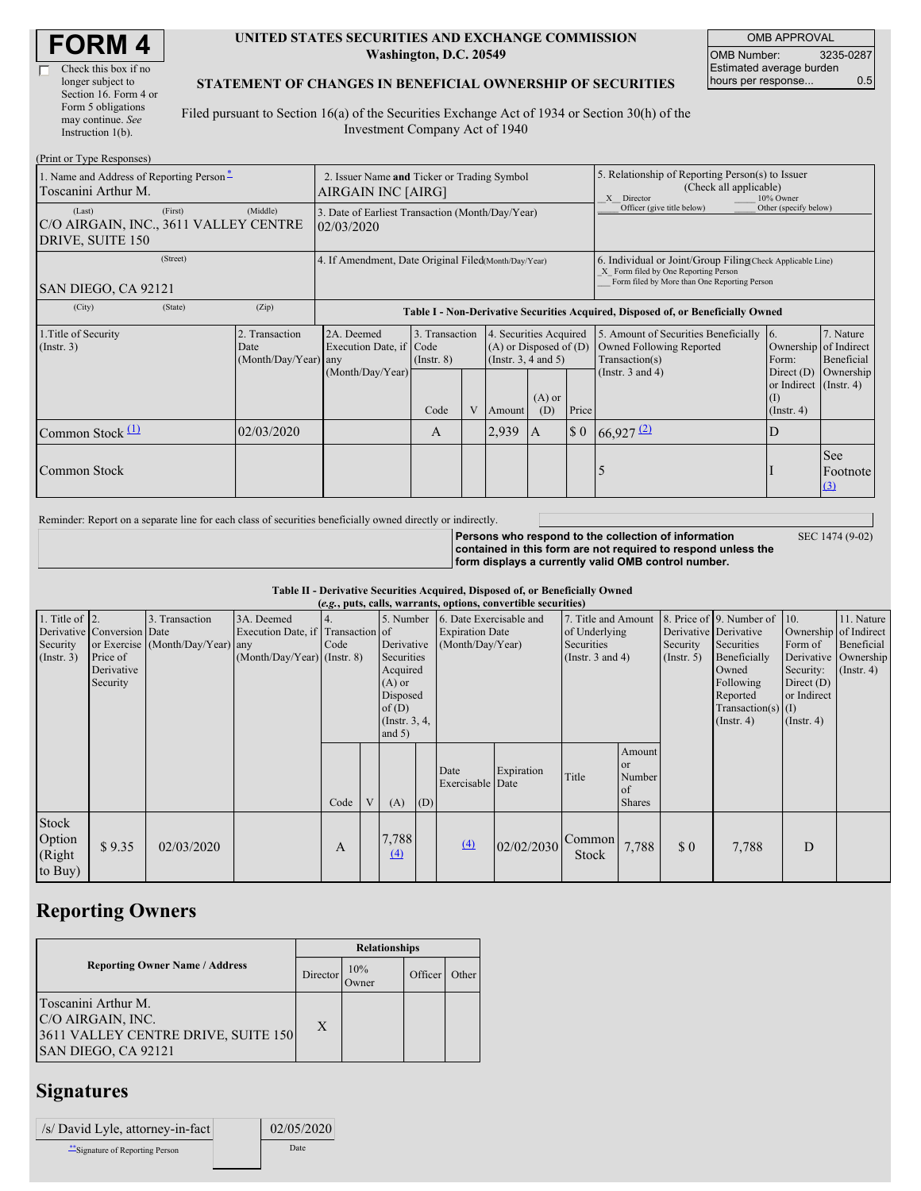| <b>FORM4</b> |
|--------------|
|--------------|

г

| Check this box if no  |
|-----------------------|
| longer subject to     |
| Section 16. Form 4 or |
| Form 5 obligations    |
| may continue. See     |
| Instruction $1(b)$ .  |

#### **UNITED STATES SECURITIES AND EXCHANGE COMMISSION Washington, D.C. 20549**

OMB APPROVAL OMB Number: 3235-0287 Estimated average burden hours per response... 0.5

SEC 1474 (9-02)

#### **STATEMENT OF CHANGES IN BENEFICIAL OWNERSHIP OF SECURITIES**

Filed pursuant to Section 16(a) of the Securities Exchange Act of 1934 or Section 30(h) of the Investment Company Act of 1940

| (Print or Type Responses)                                           |                                                                   |                                                  |                                                                                  |                                   |  |                                                                             |                                                                                                       |       |                                                                                                                                                    |                                                                   |                         |  |
|---------------------------------------------------------------------|-------------------------------------------------------------------|--------------------------------------------------|----------------------------------------------------------------------------------|-----------------------------------|--|-----------------------------------------------------------------------------|-------------------------------------------------------------------------------------------------------|-------|----------------------------------------------------------------------------------------------------------------------------------------------------|-------------------------------------------------------------------|-------------------------|--|
| 1. Name and Address of Reporting Person-<br>Toscanini Arthur M.     | 2. Issuer Name and Ticker or Trading Symbol<br>AIRGAIN INC [AIRG] |                                                  |                                                                                  |                                   |  |                                                                             | 5. Relationship of Reporting Person(s) to Issuer<br>(Check all applicable)<br>10% Owner<br>X Director |       |                                                                                                                                                    |                                                                   |                         |  |
| (Last)<br>C/O AIRGAIN, INC., 3611 VALLEY CENTRE<br>DRIVE, SUITE 150 | (First)                                                           | (Middle)                                         | 3. Date of Earliest Transaction (Month/Day/Year)<br>02/03/2020                   |                                   |  |                                                                             |                                                                                                       |       | Officer (give title below)                                                                                                                         | Other (specify below)                                             |                         |  |
| (Street)<br>SAN DIEGO, CA 92121                                     |                                                                   |                                                  | 4. If Amendment, Date Original Filed(Month/Day/Year)                             |                                   |  |                                                                             |                                                                                                       |       | 6. Individual or Joint/Group Filing Check Applicable Line)<br>X Form filed by One Reporting Person<br>Form filed by More than One Reporting Person |                                                                   |                         |  |
| (City)                                                              | (State)                                                           | (Zip)                                            | Table I - Non-Derivative Securities Acquired, Disposed of, or Beneficially Owned |                                   |  |                                                                             |                                                                                                       |       |                                                                                                                                                    |                                                                   |                         |  |
| 1. Title of Security<br>(Insert. 3)                                 |                                                                   | 2. Transaction<br>Date<br>$(Month/Day/Year)$ any | 2A. Deemed<br>Execution Date, if Code                                            | 3. Transaction<br>$($ Instr. $8)$ |  | 4. Securities Acquired<br>$(A)$ or Disposed of $(D)$<br>(Instr. 3, 4 and 5) |                                                                                                       |       | 5. Amount of Securities Beneficially<br>Owned Following Reported<br>Transaction(s)                                                                 | 16.<br>Ownership of Indirect<br>Form:                             | 7. Nature<br>Beneficial |  |
|                                                                     |                                                                   |                                                  | (Month/Day/Year)                                                                 | Code                              |  | Amount                                                                      | $(A)$ or<br>(D)                                                                                       | Price | (Instr. $3$ and $4$ )                                                                                                                              | Direct $(D)$<br>or Indirect (Instr. 4)<br>(I)<br>$($ Instr. 4 $)$ | Ownership               |  |
| Common Stock $(1)$                                                  |                                                                   | 02/03/2020                                       |                                                                                  | $\mathbf{A}$                      |  | 2,939                                                                       | IA                                                                                                    |       | $\begin{array}{ c c c c c } \hline 0 & 66,927 \end{array}$                                                                                         | D                                                                 |                         |  |
| Common Stock                                                        |                                                                   |                                                  |                                                                                  |                                   |  |                                                                             |                                                                                                       |       |                                                                                                                                                    |                                                                   | See<br>Footnote<br>(3)  |  |

Reminder: Report on a separate line for each class of securities beneficially owned directly or indirectly.

**Persons who respond to the collection of information contained in this form are not required to respond unless the form displays a currently valid OMB control number.**

**Table II - Derivative Securities Acquired, Disposed of, or Beneficially Owned**

| (e.g., puts, calls, warrants, options, convertible securities) |                                                                  |                                                    |                                                                                  |      |   |                                                                                                                   |     |                                                                                                                                                 |            |                 |                                                      |                                                                                                                                      |                                                                                                         |                                                                      |  |
|----------------------------------------------------------------|------------------------------------------------------------------|----------------------------------------------------|----------------------------------------------------------------------------------|------|---|-------------------------------------------------------------------------------------------------------------------|-----|-------------------------------------------------------------------------------------------------------------------------------------------------|------------|-----------------|------------------------------------------------------|--------------------------------------------------------------------------------------------------------------------------------------|---------------------------------------------------------------------------------------------------------|----------------------------------------------------------------------|--|
| 1. Title of $ 2$ .<br>Security<br>$($ Instr. 3 $)$             | Derivative Conversion Date<br>Price of<br>Derivative<br>Security | 3. Transaction<br>or Exercise (Month/Day/Year) any | 3A. Deemed<br>Execution Date, if Transaction of<br>$(Month/Day/Year)$ (Instr. 8) | Code |   | 5. Number<br>Derivative<br>Securities<br>Acquired<br>$(A)$ or<br>Disposed<br>of(D)<br>(Instr. $3, 4,$<br>and $5)$ |     | 6. Date Exercisable and<br>7. Title and Amount<br><b>Expiration Date</b><br>of Underlying<br>(Month/Day/Year)<br>Securities<br>(Instr. 3 and 4) |            |                 | Derivative Derivative<br>Security<br>$($ Instr. 5)   | 8. Price of 9. Number of<br>Securities<br>Beneficially<br>Owned<br>Following<br>Reported<br>Transaction(s) $(I)$<br>$($ Instr. 4 $)$ | 10.<br>Ownership of Indirect<br>Form of<br>Security:<br>Direct $(D)$<br>or Indirect<br>$($ Instr. 4 $)$ | 11. Nature<br>Beneficial<br>Derivative Ownership<br>$($ Instr. 4 $)$ |  |
|                                                                |                                                                  |                                                    |                                                                                  | Code | V | (A)                                                                                                               | (D) | Date<br>Exercisable Date                                                                                                                        | Expiration | Title           | Amount<br><b>or</b><br>Number<br>of<br><b>Shares</b> |                                                                                                                                      |                                                                                                         |                                                                      |  |
| Stock<br>Option<br>(Right<br>to Buy)                           | \$9.35                                                           | 02/03/2020                                         |                                                                                  | A    |   | 7,788<br>$\Delta$                                                                                                 |     | (4)                                                                                                                                             | 02/02/2030 | Common<br>Stock | 7,788                                                | $\boldsymbol{\mathsf{S}}\boldsymbol{\mathsf{0}}$                                                                                     | 7,788                                                                                                   | D                                                                    |  |

# **Reporting Owners**

|                                                                                                        | <b>Relationships</b> |                     |         |       |  |  |  |  |
|--------------------------------------------------------------------------------------------------------|----------------------|---------------------|---------|-------|--|--|--|--|
| <b>Reporting Owner Name / Address</b>                                                                  | Director             | 10%<br><b>Tymer</b> | Officer | Other |  |  |  |  |
| Toscanini Arthur M.<br>C/O AIRGAIN, INC.<br>3611 VALLEY CENTRE DRIVE, SUITE 150<br>SAN DIEGO, CA 92121 | X                    |                     |         |       |  |  |  |  |

# **Signatures**

| /s/ David Lyle, attorney-in-fact | 02/05/2020 |
|----------------------------------|------------|
| Signature of Reporting Person    | Date       |